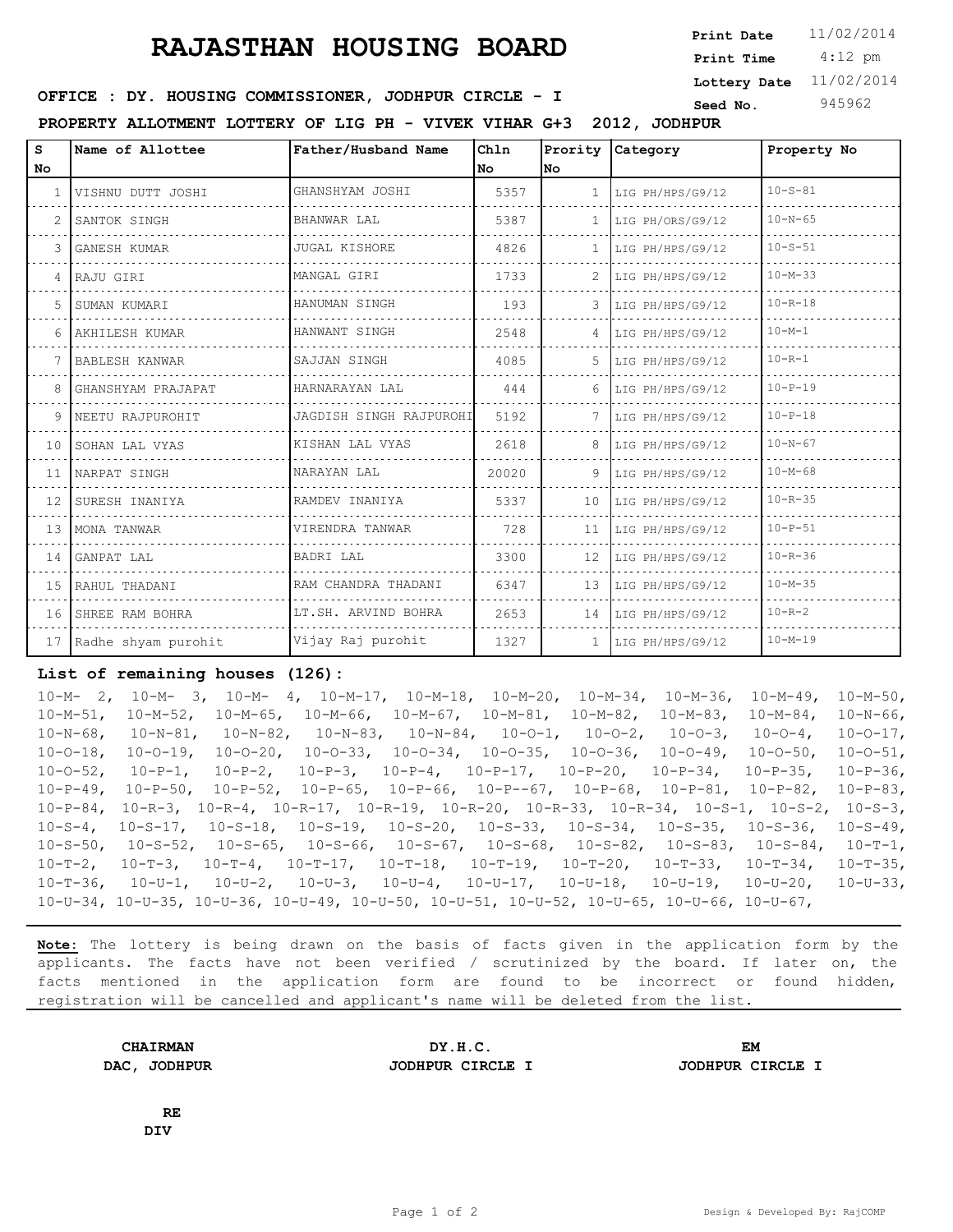## **RAJASTHAN HOUSING BOARD** Print Date 11/02/2014

 4:12 pm **Print Date Print Time Lottery Date** 11/02/2014

## **SEED IDER : DY. HOUSING COMMISSIONER, JODHPUR CIRCLE - I** Seed No. 345962

**PROPERTY ALLOTMENT LOTTERY OF LIG PH - VIVEK VIHAR G+3 2012, JODHPUR**

| No |                        |                         | Chln  | Prority      | <b>Category</b>  | Property No   |
|----|------------------------|-------------------------|-------|--------------|------------------|---------------|
|    |                        |                         | l No  | lNo.         |                  |               |
|    | VISHNU DUTT JOSHI      | GHANSHYAM JOSHI         | 5357  |              | LIG PH/HPS/G9/12 | $10 - S - 81$ |
|    | SANTOK SINGH           | BHANWAR LAL             | 5387  | $\mathbf{1}$ | LIG PH/ORS/G9/12 | $10 - N - 65$ |
| 3. | GANESH KUMAR           | <b>JUGAL KISHORE</b>    | 4826  | 1.           | LIG PH/HPS/G9/12 | $10 - S - 51$ |
|    | 4 RAJU GIRI            | MANGAL GIRI             | 1733  |              | LIG PH/HPS/G9/12 | $10 - M - 33$ |
| 5. | SUMAN KUMARI           | HANUMAN SINGH           | 193   | 3            | LIG PH/HPS/G9/12 | $10 - R - 18$ |
|    | 6 AKHILESH KUMAR       | HANWANT SINGH           | 2548  | 4            | LIG PH/HPS/G9/12 | $10 - M - 1$  |
|    | BABLESH KANWAR         | SAJJAN SINGH            | 4085  | .5           | LIG PH/HPS/G9/12 | $10 - R - 1$  |
|    | GHANSHYAM PRAJAPAT     | HARNARAYAN LAL          | 444   |              | LIG PH/HPS/G9/12 | $10 - P - 19$ |
|    | 9   NEETU RAJPUROHIT   | JAGDISH SINGH RAJPUROHI | 5192  |              | LIG PH/HPS/G9/12 | $10 - P - 18$ |
|    | 10 SOHAN LAL VYAS      | KISHAN LAL VYAS         | 2618  | 8            | LIG PH/HPS/G9/12 | $10 - N - 67$ |
|    | 11 INARPAT SINGH       | NARAYAN LAL             | 20020 | 9            | LIG PH/HPS/G9/12 | $10 - M - 68$ |
|    | 12 ISURESH INANIYA     | RAMDEV INANIYA          | 5337  | 10           | LIG PH/HPS/G9/12 | $10 - R - 35$ |
|    | 13 IMONA TANWAR        | VIRENDRA TANWAR         | 728   | 11           | LIG PH/HPS/G9/12 | $10 - P - 51$ |
|    | 14 GANPAT LAL          | BADRI LAL               | 3300  | 12           | LIG PH/HPS/G9/12 | $10 - R - 36$ |
|    | 15 RAHUL THADANI       | RAM CHANDRA THADANI     | 6347  | 13           | LIG PH/HPS/G9/12 | $10 - M - 35$ |
|    | 16 SHREE RAM BOHRA     | LT.SH. ARVIND BOHRA     | 2653  | 14           | LIG PH/HPS/G9/12 | $10 - R - 2$  |
|    | 17 Radhe shyam purohit | Vijay Raj purohit       | 1327  | $\mathbf{1}$ | LIG PH/HPS/G9/12 | $10 - M - 19$ |

## **List of remaining houses (126):**

10-M- 2, 10-M- 3, 10-M- 4, 10-M-17, 10-M-18, 10-M-20, 10-M-34, 10-M-36, 10-M-49, 10-M-50, 10-M-51, 10-M-52, 10-M-65, 10-M-66, 10-M-67, 10-M-81, 10-M-82, 10-M-83, 10-M-84, 10-N-66, 10-N-68, 10-N-81, 10-N-82, 10-N-83, 10-N-84, 10-O-1, 10-O-2, 10-O-3, 10-O-4, 10-O-17, 10-O-18, 10-O-19, 10-O-20, 10-O-33, 10-O-34, 10-O-35, 10-O-36, 10-O-49, 10-O-50, 10-O-51, 10-O-52, 10-P-1, 10-P-2, 10-P-3, 10-P-4, 10-P-17, 10-P-20, 10-P-34, 10-P-35, 10-P-36, 10-P-49, 10-P-50, 10-P-52, 10-P-65, 10-P-66, 10-P--67, 10-P-68, 10-P-81, 10-P-82, 10-P-83, 10-P-84, 10-R-3, 10-R-4, 10-R-17, 10-R-19, 10-R-20, 10-R-33, 10-R-34, 10-S-1, 10-S-2, 10-S-3, 10-S-4, 10-S-17, 10-S-18, 10-S-19, 10-S-20, 10-S-33, 10-S-34, 10-S-35, 10-S-36, 10-S-49, 10-S-50, 10-S-52, 10-S-65, 10-S-66, 10-S-67, 10-S-68, 10-S-82, 10-S-83, 10-S-84, 10-T-1, 10-T-2, 10-T-3, 10-T-4, 10-T-17, 10-T-18, 10-T-19, 10-T-20, 10-T-33, 10-T-34, 10-T-35, 10-T-36, 10-U-1, 10-U-2, 10-U-3, 10-U-4, 10-U-17, 10-U-18, 10-U-19, 10-U-20, 10-U-33, 10-U-34, 10-U-35, 10-U-36, 10-U-49, 10-U-50, 10-U-51, 10-U-52, 10-U-65, 10-U-66, 10-U-67,

**Note:** The lottery is being drawn on the basis of facts given in the application form by the applicants. The facts have not been verified / scrutinized by the board. If later on, the facts mentioned in the application form are found to be incorrect or found hidden, registration will be cancelled and applicant's name will be deleted from the list.

| <b>CHAIRMAN</b>         | DY.H.C.          | ЕM               |
|-------------------------|------------------|------------------|
| DAC ,<br><b>JODHPUR</b> | JODHPUR CIRCLE I | JODHPUR CIRCLE I |

**RE DIV**